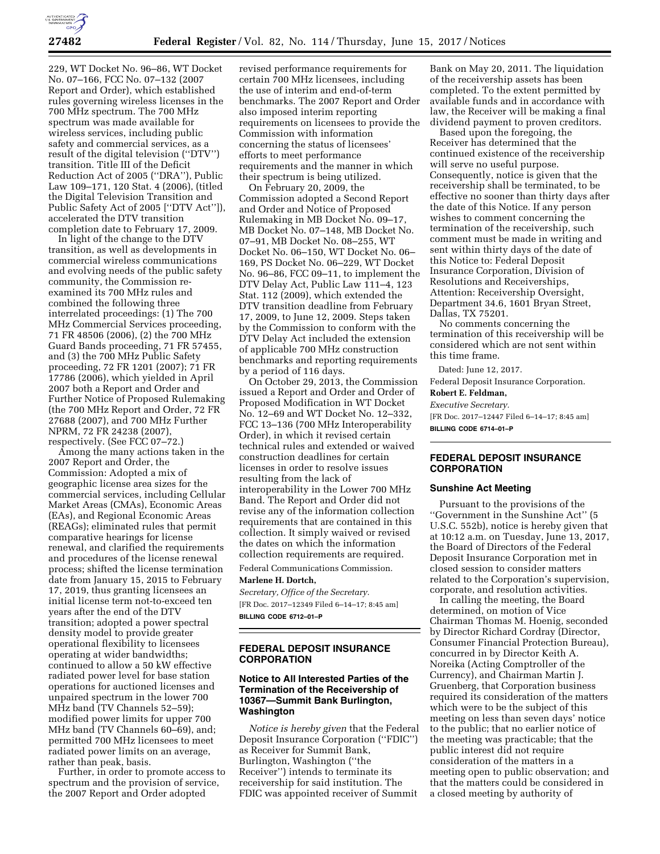

229, WT Docket No. 96–86, WT Docket No. 07–166, FCC No. 07–132 (2007 Report and Order), which established rules governing wireless licenses in the 700 MHz spectrum. The 700 MHz spectrum was made available for wireless services, including public safety and commercial services, as a result of the digital television (''DTV'') transition. Title III of the Deficit Reduction Act of 2005 (''DRA''), Public Law 109–171, 120 Stat. 4 (2006), (titled the Digital Television Transition and Public Safety Act of 2005 [''DTV Act'']), accelerated the DTV transition completion date to February 17, 2009.

In light of the change to the DTV transition, as well as developments in commercial wireless communications and evolving needs of the public safety community, the Commission reexamined its 700 MHz rules and combined the following three interrelated proceedings: (1) The 700 MHz Commercial Services proceeding, 71 FR 48506 (2006), (2) the 700 MHz Guard Bands proceeding, 71 FR 57455, and (3) the 700 MHz Public Safety proceeding, 72 FR 1201 (2007); 71 FR 17786 (2006), which yielded in April 2007 both a Report and Order and Further Notice of Proposed Rulemaking (the 700 MHz Report and Order, 72 FR 27688 (2007), and 700 MHz Further NPRM, 72 FR 24238 (2007), respectively. (See FCC 07–72.)

Among the many actions taken in the 2007 Report and Order, the Commission: Adopted a mix of geographic license area sizes for the commercial services, including Cellular Market Areas (CMAs), Economic Areas (EAs), and Regional Economic Areas (REAGs); eliminated rules that permit comparative hearings for license renewal, and clarified the requirements and procedures of the license renewal process; shifted the license termination date from January 15, 2015 to February 17, 2019, thus granting licensees an initial license term not-to-exceed ten years after the end of the DTV transition; adopted a power spectral density model to provide greater operational flexibility to licensees operating at wider bandwidths; continued to allow a 50 kW effective radiated power level for base station operations for auctioned licenses and unpaired spectrum in the lower 700 MHz band (TV Channels 52–59); modified power limits for upper 700 MHz band (TV Channels 60–69), and; permitted 700 MHz licensees to meet radiated power limits on an average, rather than peak, basis.

Further, in order to promote access to spectrum and the provision of service, the 2007 Report and Order adopted

revised performance requirements for certain 700 MHz licensees, including the use of interim and end-of-term benchmarks. The 2007 Report and Order also imposed interim reporting requirements on licensees to provide the Commission with information concerning the status of licensees' efforts to meet performance requirements and the manner in which their spectrum is being utilized.

On February 20, 2009, the Commission adopted a Second Report and Order and Notice of Proposed Rulemaking in MB Docket No. 09–17, MB Docket No. 07–148, MB Docket No. 07–91, MB Docket No. 08–255, WT Docket No. 06–150, WT Docket No. 06– 169, PS Docket No. 06–229, WT Docket No. 96–86, FCC 09–11, to implement the DTV Delay Act, Public Law 111–4, 123 Stat. 112 (2009), which extended the DTV transition deadline from February 17, 2009, to June 12, 2009. Steps taken by the Commission to conform with the DTV Delay Act included the extension of applicable 700 MHz construction benchmarks and reporting requirements by a period of 116 days.

On October 29, 2013, the Commission issued a Report and Order and Order of Proposed Modification in WT Docket No. 12–69 and WT Docket No. 12–332, FCC 13–136 (700 MHz Interoperability Order), in which it revised certain technical rules and extended or waived construction deadlines for certain licenses in order to resolve issues resulting from the lack of interoperability in the Lower 700 MHz Band. The Report and Order did not revise any of the information collection requirements that are contained in this collection. It simply waived or revised the dates on which the information collection requirements are required.

## Federal Communications Commission. **Marlene H. Dortch,**

*Secretary, Office of the Secretary.*  [FR Doc. 2017–12349 Filed 6–14–17; 8:45 am] **BILLING CODE 6712–01–P** 

## **FEDERAL DEPOSIT INSURANCE CORPORATION**

## **Notice to All Interested Parties of the Termination of the Receivership of 10367—Summit Bank Burlington, Washington**

*Notice is hereby given* that the Federal Deposit Insurance Corporation (''FDIC'') as Receiver for Summit Bank, Burlington, Washington (''the Receiver'') intends to terminate its receivership for said institution. The FDIC was appointed receiver of Summit

Bank on May 20, 2011. The liquidation of the receivership assets has been completed. To the extent permitted by available funds and in accordance with law, the Receiver will be making a final dividend payment to proven creditors.

Based upon the foregoing, the Receiver has determined that the continued existence of the receivership will serve no useful purpose. Consequently, notice is given that the receivership shall be terminated, to be effective no sooner than thirty days after the date of this Notice. If any person wishes to comment concerning the termination of the receivership, such comment must be made in writing and sent within thirty days of the date of this Notice to: Federal Deposit Insurance Corporation, Division of Resolutions and Receiverships, Attention: Receivership Oversight, Department 34.6, 1601 Bryan Street, Dallas, TX 75201.

No comments concerning the termination of this receivership will be considered which are not sent within this time frame.

Dated: June 12, 2017.

Federal Deposit Insurance Corporation. **Robert E. Feldman,** 

# *Executive Secretary.*

[FR Doc. 2017–12447 Filed 6–14–17; 8:45 am] **BILLING CODE 6714–01–P** 

## **FEDERAL DEPOSIT INSURANCE CORPORATION**

#### **Sunshine Act Meeting**

Pursuant to the provisions of the ''Government in the Sunshine Act'' (5 U.S.C. 552b), notice is hereby given that at 10:12 a.m. on Tuesday, June 13, 2017, the Board of Directors of the Federal Deposit Insurance Corporation met in closed session to consider matters related to the Corporation's supervision, corporate, and resolution activities.

In calling the meeting, the Board determined, on motion of Vice Chairman Thomas M. Hoenig, seconded by Director Richard Cordray (Director, Consumer Financial Protection Bureau), concurred in by Director Keith A. Noreika (Acting Comptroller of the Currency), and Chairman Martin J. Gruenberg, that Corporation business required its consideration of the matters which were to be the subject of this meeting on less than seven days' notice to the public; that no earlier notice of the meeting was practicable; that the public interest did not require consideration of the matters in a meeting open to public observation; and that the matters could be considered in a closed meeting by authority of